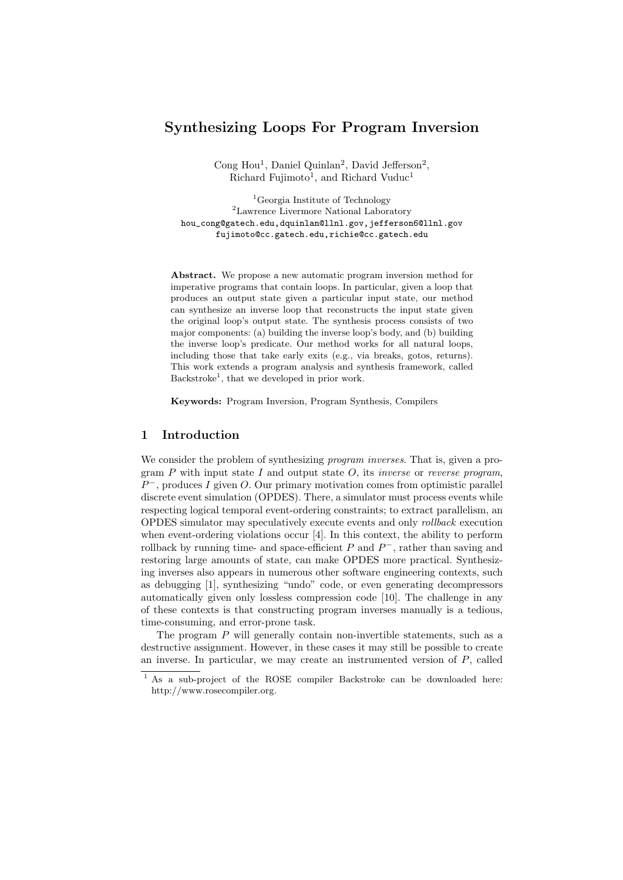# Synthesizing Loops For Program Inversion

Cong Hou<sup>1</sup>, Daniel Quinlan<sup>2</sup>, David Jefferson<sup>2</sup>, Richard Fujimoto<sup>1</sup>, and Richard Vuduc<sup>1</sup>

<sup>1</sup>Georgia Institute of Technology <sup>2</sup>Lawrence Livermore National Laboratory hou\_cong@gatech.edu,dquinlan@llnl.gov,jefferson6@llnl.gov fujimoto@cc.gatech.edu,richie@cc.gatech.edu

Abstract. We propose a new automatic program inversion method for imperative programs that contain loops. In particular, given a loop that produces an output state given a particular input state, our method can synthesize an inverse loop that reconstructs the input state given the original loop's output state. The synthesis process consists of two major components: (a) building the inverse loop's body, and (b) building the inverse loop's predicate. Our method works for all natural loops, including those that take early exits (e.g., via breaks, gotos, returns). This work extends a program analysis and synthesis framework, called Backstroke<sup>1</sup>, that we developed in prior work.

Keywords: Program Inversion, Program Synthesis, Compilers

# 1 Introduction

We consider the problem of synthesizing *program inverses*. That is, given a program  $P$  with input state  $I$  and output state  $O$ , its *inverse* or *reverse program*,  $P^-$ , produces I given O. Our primary motivation comes from optimistic parallel discrete event simulation (OPDES). There, a simulator must process events while respecting logical temporal event-ordering constraints; to extract parallelism, an OPDES simulator may speculatively execute events and only rollback execution when event-ordering violations occur [4]. In this context, the ability to perform rollback by running time- and space-efficient  $P$  and  $P^-$ , rather than saving and restoring large amounts of state, can make OPDES more practical. Synthesizing inverses also appears in numerous other software engineering contexts, such as debugging [1], synthesizing "undo" code, or even generating decompressors automatically given only lossless compression code [10]. The challenge in any of these contexts is that constructing program inverses manually is a tedious, time-consuming, and error-prone task.

The program P will generally contain non-invertible statements, such as a destructive assignment. However, in these cases it may still be possible to create an inverse. In particular, we may create an instrumented version of P, called

<sup>&</sup>lt;sup>1</sup> As a sub-project of the ROSE compiler Backstroke can be downloaded here: http://www.rosecompiler.org.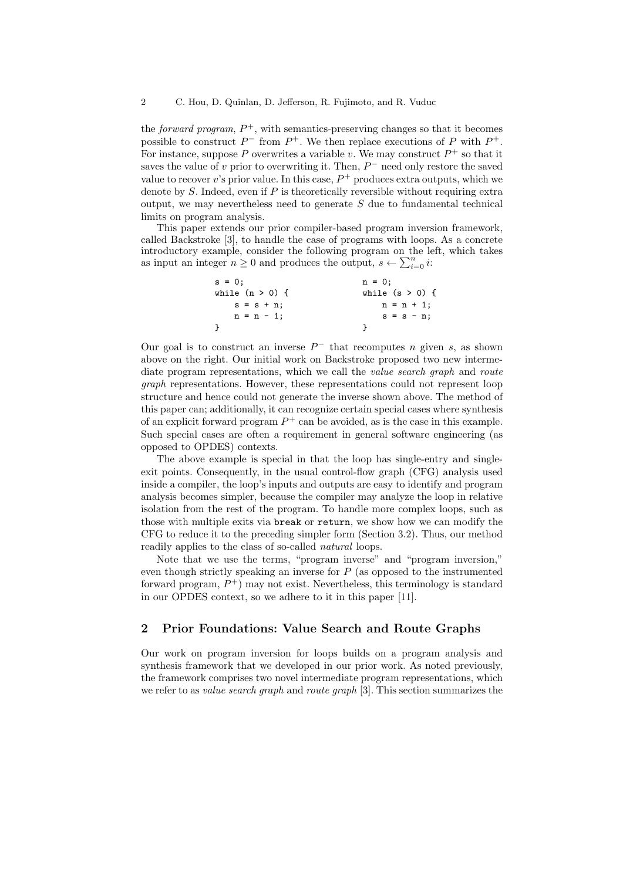the *forward program*,  $P^+$ , with semantics-preserving changes so that it becomes possible to construct  $P^-$  from  $P^+$ . We then replace executions of P with  $P^+$ . For instance, suppose P overwrites a variable v. We may construct  $P^+$  so that it saves the value of v prior to overwriting it. Then,  $P^-$  need only restore the saved value to recover v's prior value. In this case,  $P^+$  produces extra outputs, which we denote by  $S$ . Indeed, even if  $P$  is theoretically reversible without requiring extra output, we may nevertheless need to generate  $S$  due to fundamental technical limits on program analysis.

This paper extends our prior compiler-based program inversion framework, called Backstroke [3], to handle the case of programs with loops. As a concrete introductory example, consider the following program on the left, which takes as input an integer  $n \geq 0$  and produces the output,  $s \leftarrow \sum_{i=0}^{n} i$ :

| $s = 0$ ;         | $n = 0$ :         |
|-------------------|-------------------|
| while $(n > 0)$ { | while $(s > 0)$ { |
| $s = s + n$ ;     | $n = n + 1$ ;     |
| $n = n - 1$ ;     | $s = s - n;$      |
|                   |                   |

Our goal is to construct an inverse  $P^-$  that recomputes n given s, as shown above on the right. Our initial work on Backstroke proposed two new intermediate program representations, which we call the *value search graph* and *route* graph representations. However, these representations could not represent loop structure and hence could not generate the inverse shown above. The method of this paper can; additionally, it can recognize certain special cases where synthesis of an explicit forward program  $P^+$  can be avoided, as is the case in this example. Such special cases are often a requirement in general software engineering (as opposed to OPDES) contexts.

The above example is special in that the loop has single-entry and singleexit points. Consequently, in the usual control-flow graph (CFG) analysis used inside a compiler, the loop's inputs and outputs are easy to identify and program analysis becomes simpler, because the compiler may analyze the loop in relative isolation from the rest of the program. To handle more complex loops, such as those with multiple exits via break or return, we show how we can modify the CFG to reduce it to the preceding simpler form (Section 3.2). Thus, our method readily applies to the class of so-called *natural* loops.

Note that we use the terms, "program inverse" and "program inversion," even though strictly speaking an inverse for  $P$  (as opposed to the instrumented forward program,  $P^+$ ) may not exist. Nevertheless, this terminology is standard in our OPDES context, so we adhere to it in this paper [11].

# 2 Prior Foundations: Value Search and Route Graphs

Our work on program inversion for loops builds on a program analysis and synthesis framework that we developed in our prior work. As noted previously, the framework comprises two novel intermediate program representations, which we refer to as *value search graph* and *route graph* [3]. This section summarizes the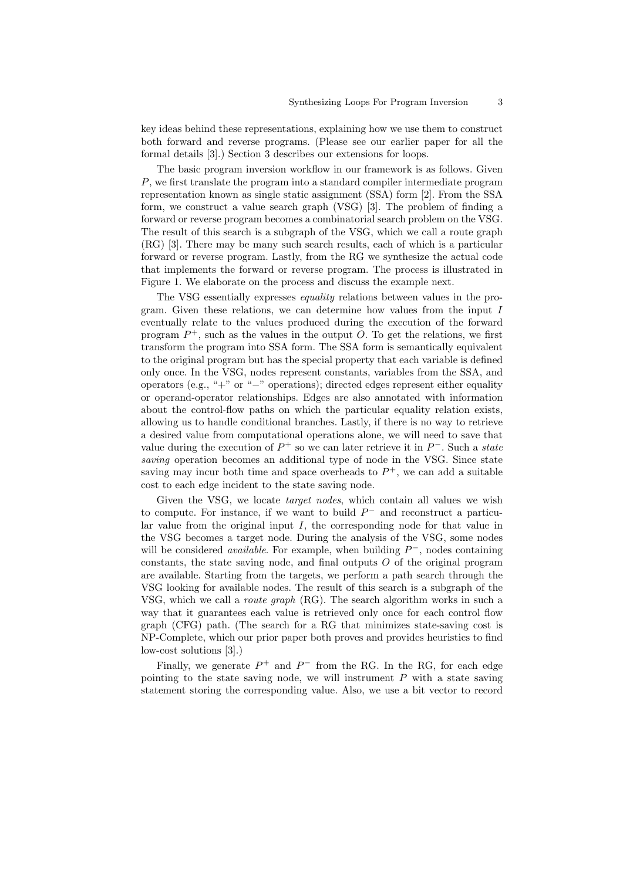key ideas behind these representations, explaining how we use them to construct both forward and reverse programs. (Please see our earlier paper for all the formal details [3].) Section 3 describes our extensions for loops.

The basic program inversion workflow in our framework is as follows. Given P, we first translate the program into a standard compiler intermediate program representation known as single static assignment (SSA) form [2]. From the SSA form, we construct a value search graph (VSG) [3]. The problem of finding a forward or reverse program becomes a combinatorial search problem on the VSG. The result of this search is a subgraph of the VSG, which we call a route graph (RG) [3]. There may be many such search results, each of which is a particular forward or reverse program. Lastly, from the RG we synthesize the actual code that implements the forward or reverse program. The process is illustrated in Figure 1. We elaborate on the process and discuss the example next.

The VSG essentially expresses equality relations between values in the program. Given these relations, we can determine how values from the input I eventually relate to the values produced during the execution of the forward program  $P^+$ , such as the values in the output O. To get the relations, we first transform the program into SSA form. The SSA form is semantically equivalent to the original program but has the special property that each variable is defined only once. In the VSG, nodes represent constants, variables from the SSA, and operators (e.g., "+" or "−" operations); directed edges represent either equality or operand-operator relationships. Edges are also annotated with information about the control-flow paths on which the particular equality relation exists, allowing us to handle conditional branches. Lastly, if there is no way to retrieve a desired value from computational operations alone, we will need to save that value during the execution of  $P^+$  so we can later retrieve it in  $P^-$ . Such a *state* saving operation becomes an additional type of node in the VSG. Since state saving may incur both time and space overheads to  $P^+$ , we can add a suitable cost to each edge incident to the state saving node.

Given the VSG, we locate *target nodes*, which contain all values we wish to compute. For instance, if we want to build  $P^-$  and reconstruct a particular value from the original input  $I$ , the corresponding node for that value in the VSG becomes a target node. During the analysis of the VSG, some nodes will be considered *available*. For example, when building  $P^-$ , nodes containing constants, the state saving node, and final outputs  $O$  of the original program are available. Starting from the targets, we perform a path search through the VSG looking for available nodes. The result of this search is a subgraph of the VSG, which we call a route graph (RG). The search algorithm works in such a way that it guarantees each value is retrieved only once for each control flow graph (CFG) path. (The search for a RG that minimizes state-saving cost is NP-Complete, which our prior paper both proves and provides heuristics to find low-cost solutions [3].)

Finally, we generate  $P^+$  and  $P^-$  from the RG. In the RG, for each edge pointing to the state saving node, we will instrument  $P$  with a state saving statement storing the corresponding value. Also, we use a bit vector to record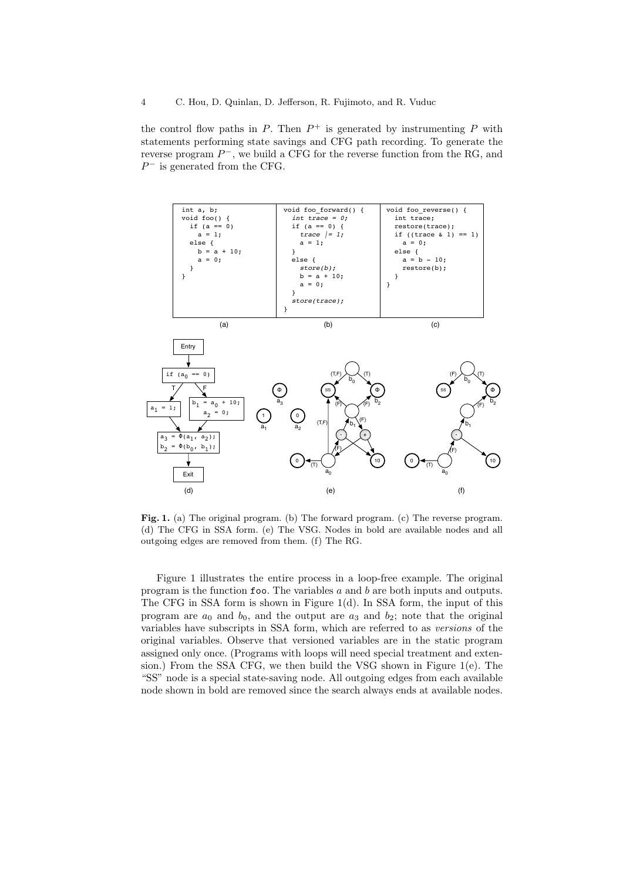the control flow paths in  $P$ . Then  $P^+$  is generated by instrumenting  $P$  with statements performing state savings and CFG path recording. To generate the reverse program  $P^-$ , we build a CFG for the reverse function from the RG, and  $P^-$  is generated from the CFG.



Fig. 1. (a) The original program. (b) The forward program. (c) The reverse program. (d) The CFG in SSA form. (e) The VSG. Nodes in bold are available nodes and all outgoing edges are removed from them. (f) The RG.

Figure 1 illustrates the entire process in a loop-free example. The original program is the function foo. The variables  $a$  and  $b$  are both inputs and outputs. The CFG in SSA form is shown in Figure 1(d). In SSA form, the input of this program are  $a_0$  and  $b_0$ , and the output are  $a_3$  and  $b_2$ ; note that the original variables have subscripts in SSA form, which are referred to as versions of the original variables. Observe that versioned variables are in the static program assigned only once. (Programs with loops will need special treatment and extension.) From the SSA CFG, we then build the VSG shown in Figure 1(e). The "SS" node is a special state-saving node. All outgoing edges from each available node shown in bold are removed since the search always ends at available nodes.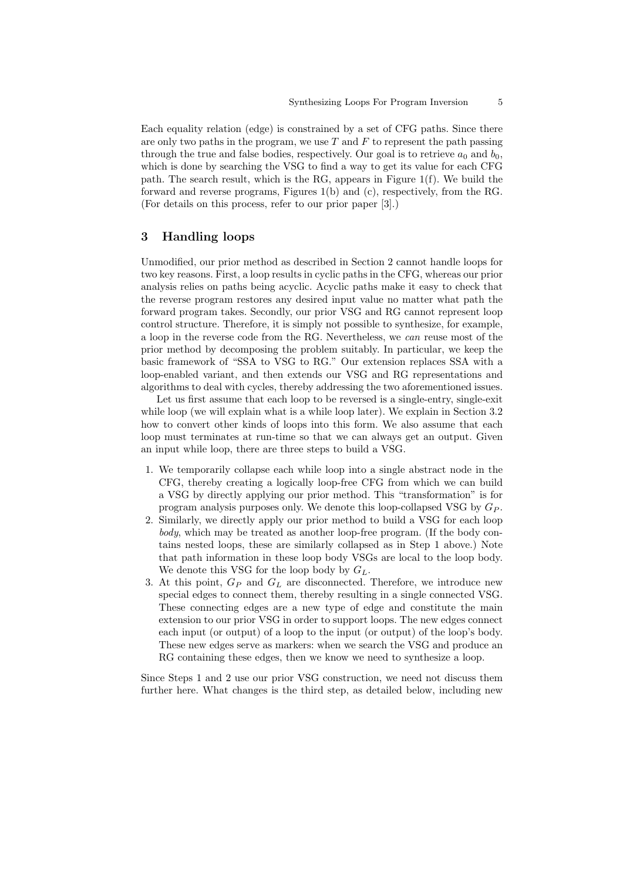Each equality relation (edge) is constrained by a set of CFG paths. Since there are only two paths in the program, we use  $T$  and  $F$  to represent the path passing through the true and false bodies, respectively. Our goal is to retrieve  $a_0$  and  $b_0$ , which is done by searching the VSG to find a way to get its value for each CFG path. The search result, which is the RG, appears in Figure 1(f). We build the forward and reverse programs, Figures 1(b) and (c), respectively, from the RG. (For details on this process, refer to our prior paper [3].)

# 3 Handling loops

Unmodified, our prior method as described in Section 2 cannot handle loops for two key reasons. First, a loop results in cyclic paths in the CFG, whereas our prior analysis relies on paths being acyclic. Acyclic paths make it easy to check that the reverse program restores any desired input value no matter what path the forward program takes. Secondly, our prior VSG and RG cannot represent loop control structure. Therefore, it is simply not possible to synthesize, for example, a loop in the reverse code from the RG. Nevertheless, we can reuse most of the prior method by decomposing the problem suitably. In particular, we keep the basic framework of "SSA to VSG to RG." Our extension replaces SSA with a loop-enabled variant, and then extends our VSG and RG representations and algorithms to deal with cycles, thereby addressing the two aforementioned issues.

Let us first assume that each loop to be reversed is a single-entry, single-exit while loop (we will explain what is a while loop later). We explain in Section 3.2 how to convert other kinds of loops into this form. We also assume that each loop must terminates at run-time so that we can always get an output. Given an input while loop, there are three steps to build a VSG.

- 1. We temporarily collapse each while loop into a single abstract node in the CFG, thereby creating a logically loop-free CFG from which we can build a VSG by directly applying our prior method. This "transformation" is for program analysis purposes only. We denote this loop-collapsed VSG by  $G_P$ .
- 2. Similarly, we directly apply our prior method to build a VSG for each loop body, which may be treated as another loop-free program. (If the body contains nested loops, these are similarly collapsed as in Step 1 above.) Note that path information in these loop body VSGs are local to the loop body. We denote this VSG for the loop body by  $G_L$ .
- 3. At this point,  $G_P$  and  $G_L$  are disconnected. Therefore, we introduce new special edges to connect them, thereby resulting in a single connected VSG. These connecting edges are a new type of edge and constitute the main extension to our prior VSG in order to support loops. The new edges connect each input (or output) of a loop to the input (or output) of the loop's body. These new edges serve as markers: when we search the VSG and produce an RG containing these edges, then we know we need to synthesize a loop.

Since Steps 1 and 2 use our prior VSG construction, we need not discuss them further here. What changes is the third step, as detailed below, including new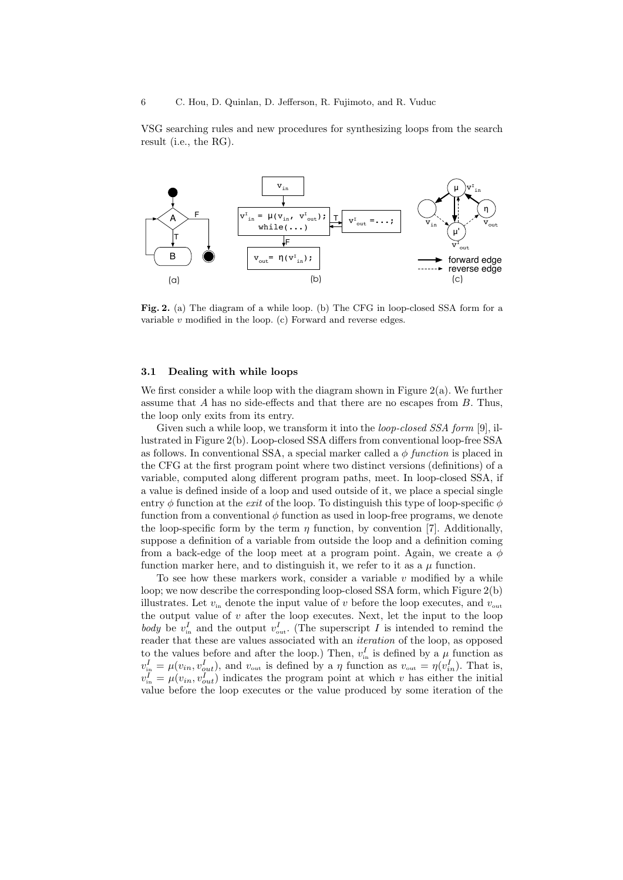VSG searching rules and new procedures for synthesizing loops from the search result (i.e., the RG).



Fig. 2. (a) The diagram of a while loop. (b) The CFG in loop-closed SSA form for a variable  $v$  modified in the loop.  $(c)$  Forward and reverse edges.

#### 3.1 Dealing with while loops

We first consider a while loop with the diagram shown in Figure 2(a). We further assume that  $A$  has no side-effects and that there are no escapes from  $B$ . Thus, the loop only exits from its entry.

Given such a while loop, we transform it into the *loop-closed SSA form* [9], illustrated in Figure 2(b). Loop-closed SSA differs from conventional loop-free SSA as follows. In conventional SSA, a special marker called a  $\phi$  function is placed in the CFG at the first program point where two distinct versions (definitions) of a variable, computed along different program paths, meet. In loop-closed SSA, if a value is defined inside of a loop and used outside of it, we place a special single entry  $\phi$  function at the *exit* of the loop. To distinguish this type of loop-specific  $\phi$ function from a conventional  $\phi$  function as used in loop-free programs, we denote the loop-specific form by the term  $\eta$  function, by convention [7]. Additionally, suppose a definition of a variable from outside the loop and a definition coming from a back-edge of the loop meet at a program point. Again, we create a  $\phi$ function marker here, and to distinguish it, we refer to it as a  $\mu$  function.

To see how these markers work, consider a variable  $v$  modified by a while loop; we now describe the corresponding loop-closed SSA form, which Figure 2(b) illustrates. Let  $v_{\text{in}}$  denote the input value of v before the loop executes, and  $v_{\text{out}}$ the output value of  $v$  after the loop executes. Next, let the input to the loop body be  $v_{\text{in}}^I$  and the output  $v_{\text{out}}^I$ . (The superscript I is intended to remind the reader that these are values associated with an *iteration* of the loop, as opposed to the values before and after the loop.) Then,  $v_{\text{in}}^I$  is defined by a  $\mu$  function as  $v_{\text{in}}^I = \mu(v_{in}, v_{out}^I)$ , and  $v_{\text{out}}$  is defined by a  $\eta$  function as  $v_{\text{out}} = \eta(v_{in}^I)$ . That is,  $v_{\text{in}}^I = \mu(v_{in}, v_{out}^I)$  indicates the program point at which v has either the initial value before the loop executes or the value produced by some iteration of the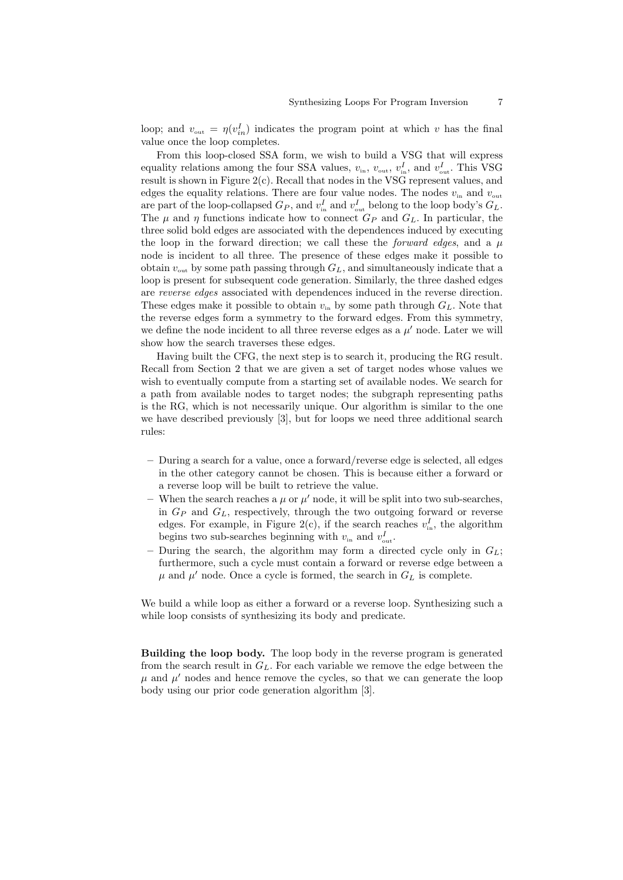loop; and  $v_{\text{out}} = \eta(v_{in}^I)$  indicates the program point at which v has the final value once the loop completes.

From this loop-closed SSA form, we wish to build a VSG that will express equality relations among the four SSA values,  $v_{\text{in}}$ ,  $v_{\text{out}}$ ,  $v_{\text{in}}^I$ , and  $v_{\text{out}}^I$ . This VSG result is shown in Figure 2(c). Recall that nodes in the VSG represent values, and edges the equality relations. There are four value nodes. The nodes  $v_{in}$  and  $v_{out}$ are part of the loop-collapsed  $G_P$ , and  $v_{\text{in}}^I$  and  $v_{\text{out}}^I$  belong to the loop body's  $G_L$ . The  $\mu$  and  $\eta$  functions indicate how to connect  $G_P$  and  $G_L$ . In particular, the three solid bold edges are associated with the dependences induced by executing the loop in the forward direction; we call these the *forward edges*, and a  $\mu$ node is incident to all three. The presence of these edges make it possible to obtain  $v_{\text{out}}$  by some path passing through  $G_L$ , and simultaneously indicate that a loop is present for subsequent code generation. Similarly, the three dashed edges are reverse edges associated with dependences induced in the reverse direction. These edges make it possible to obtain  $v_{\text{in}}$  by some path through  $G_L$ . Note that the reverse edges form a symmetry to the forward edges. From this symmetry, we define the node incident to all three reverse edges as a  $\mu'$  node. Later we will show how the search traverses these edges.

Having built the CFG, the next step is to search it, producing the RG result. Recall from Section 2 that we are given a set of target nodes whose values we wish to eventually compute from a starting set of available nodes. We search for a path from available nodes to target nodes; the subgraph representing paths is the RG, which is not necessarily unique. Our algorithm is similar to the one we have described previously [3], but for loops we need three additional search rules:

- During a search for a value, once a forward/reverse edge is selected, all edges in the other category cannot be chosen. This is because either a forward or a reverse loop will be built to retrieve the value.
- When the search reaches a  $\mu$  or  $\mu'$  node, it will be split into two sub-searches, in  $G_P$  and  $G_L$ , respectively, through the two outgoing forward or reverse edges. For example, in Figure 2(c), if the search reaches  $v_{\text{in}}^I$ , the algorithm begins two sub-searches beginning with  $v_{\text{in}}$  and  $v_{\text{out}}^I$ .
- During the search, the algorithm may form a directed cycle only in  $G_L$ ; furthermore, such a cycle must contain a forward or reverse edge between a  $\mu$  and  $\mu'$  node. Once a cycle is formed, the search in  $G_L$  is complete.

We build a while loop as either a forward or a reverse loop. Synthesizing such a while loop consists of synthesizing its body and predicate.

Building the loop body. The loop body in the reverse program is generated from the search result in  $G_L$ . For each variable we remove the edge between the  $\mu$  and  $\mu'$  nodes and hence remove the cycles, so that we can generate the loop body using our prior code generation algorithm [3].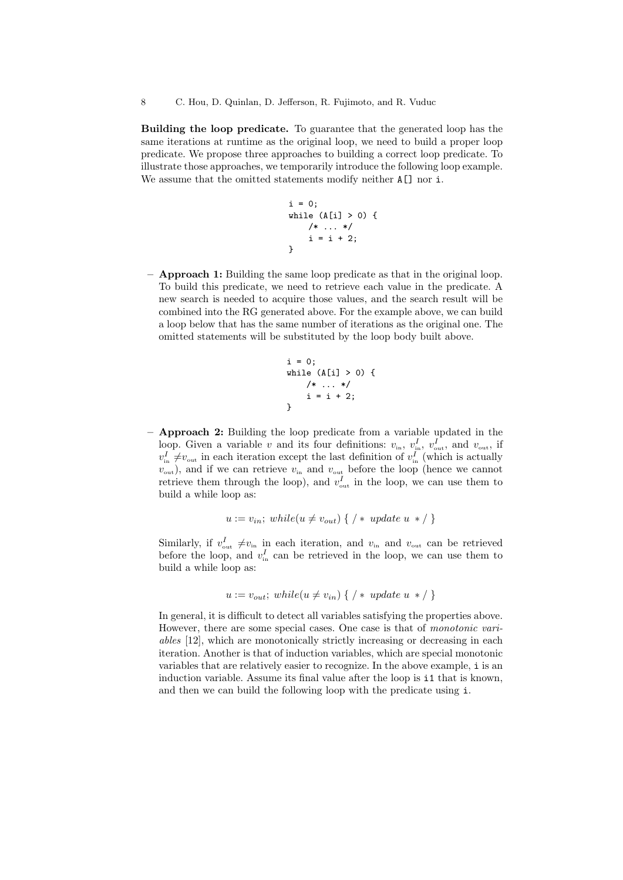Building the loop predicate. To guarantee that the generated loop has the same iterations at runtime as the original loop, we need to build a proper loop predicate. We propose three approaches to building a correct loop predicate. To illustrate those approaches, we temporarily introduce the following loop example. We assume that the omitted statements modify neither  $A[\]$  nor i.

```
i = 0;while (A[i] > 0) {
   /* ... */
    i = i + 2;}
```
– Approach 1: Building the same loop predicate as that in the original loop. To build this predicate, we need to retrieve each value in the predicate. A new search is needed to acquire those values, and the search result will be combined into the RG generated above. For the example above, we can build a loop below that has the same number of iterations as the original one. The omitted statements will be substituted by the loop body built above.

```
i = 0:
while (A[i] > 0) {
    /* ... */
    i = i + 2;}
```
– Approach 2: Building the loop predicate from a variable updated in the loop. Given a variable v and its four definitions:  $v_{\text{in}}$ ,  $v_{\text{in}}^I$ ,  $v_{\text{out}}^I$ , and  $v_{\text{out}}$ , if  $v_{\text{in}}^I \neq v_{\text{out}}$  in each iteration except the last definition of  $v_{\text{in}}^I$  (which is actually  $v_{\text{out}}$ ), and if we can retrieve  $v_{\text{in}}$  and  $v_{\text{out}}$  before the loop (hence we cannot retrieve them through the loop), and  $v_{\text{out}}^I$  in the loop, we can use them to build a while loop as:

$$
u := v_{in}; while (u \neq v_{out}) \ \{ \ / \ * \ update \ u \ * \ / \ \}
$$

Similarly, if  $v_{\text{out}}^I \neq v_{\text{in}}$  in each iteration, and  $v_{\text{in}}$  and  $v_{\text{out}}$  can be retrieved before the loop, and  $v_{\text{in}}^I$  can be retrieved in the loop, we can use them to build a while loop as:

$$
u := v_{out}; \; while (u \neq v_{in}) \ \{ \ / \ * \ update \ u \ * \ / \ \}
$$

In general, it is difficult to detect all variables satisfying the properties above. However, there are some special cases. One case is that of monotonic variables [12], which are monotonically strictly increasing or decreasing in each iteration. Another is that of induction variables, which are special monotonic variables that are relatively easier to recognize. In the above example, i is an induction variable. Assume its final value after the loop is i1 that is known, and then we can build the following loop with the predicate using i.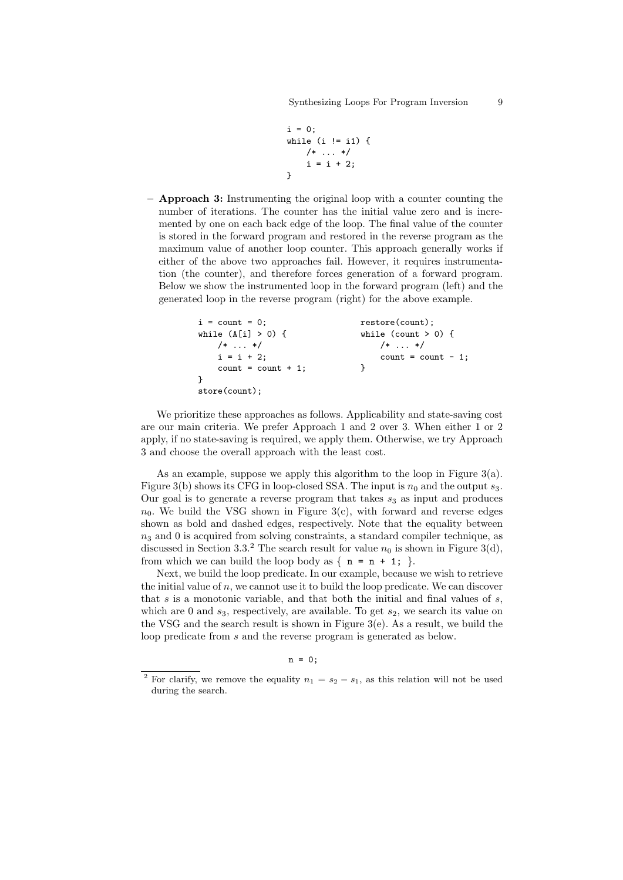```
i = 0;
while (i != i1) {
   /* ... */
    i = i + 2;}
```
– Approach 3: Instrumenting the original loop with a counter counting the number of iterations. The counter has the initial value zero and is incremented by one on each back edge of the loop. The final value of the counter is stored in the forward program and restored in the reverse program as the maximum value of another loop counter. This approach generally works if either of the above two approaches fail. However, it requires instrumentation (the counter), and therefore forces generation of a forward program. Below we show the instrumented loop in the forward program (left) and the generated loop in the reverse program (right) for the above example.

```
i = count = 0; restore(count);
while (A[i] > 0) { while (count > 0) {
  /* ... */ /* ... */
  i = i + 2; count = count - 1;
  count = count + 1; }
}
store(count);
```
We prioritize these approaches as follows. Applicability and state-saving cost are our main criteria. We prefer Approach 1 and 2 over 3. When either 1 or 2 apply, if no state-saving is required, we apply them. Otherwise, we try Approach 3 and choose the overall approach with the least cost.

As an example, suppose we apply this algorithm to the loop in Figure 3(a). Figure 3(b) shows its CFG in loop-closed SSA. The input is  $n_0$  and the output  $s_3$ . Our goal is to generate a reverse program that takes  $s_3$  as input and produces  $n_0$ . We build the VSG shown in Figure 3(c), with forward and reverse edges shown as bold and dashed edges, respectively. Note that the equality between  $n_3$  and 0 is acquired from solving constraints, a standard compiler technique, as discussed in Section 3.3.<sup>2</sup> The search result for value  $n_0$  is shown in Figure 3(d), from which we can build the loop body as  $\{ n = n + 1; \}$ .

Next, we build the loop predicate. In our example, because we wish to retrieve the initial value of  $n$ , we cannot use it to build the loop predicate. We can discover that  $s$  is a monotonic variable, and that both the initial and final values of  $s$ , which are 0 and  $s_3$ , respectively, are available. To get  $s_2$ , we search its value on the VSG and the search result is shown in Figure 3(e). As a result, we build the loop predicate from s and the reverse program is generated as below.

 $n = 0;$ 

<sup>&</sup>lt;sup>2</sup> For clarify, we remove the equality  $n_1 = s_2 - s_1$ , as this relation will not be used during the search.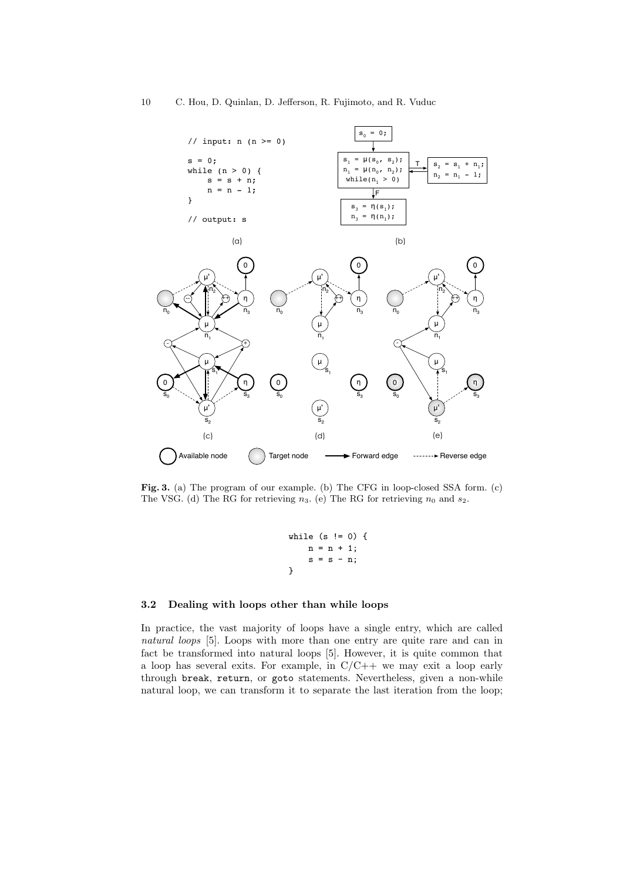

Fig. 3. (a) The program of our example. (b) The CFG in loop-closed SSA form. (c) The VSG. (d) The RG for retrieving  $n_3$ . (e) The RG for retrieving  $n_0$  and  $s_2$ .

while (s != 0) { n = n + 1; s = s - n; }

### 3.2 Dealing with loops other than while loops

In practice, the vast majority of loops have a single entry, which are called natural loops [5]. Loops with more than one entry are quite rare and can in fact be transformed into natural loops [5]. However, it is quite common that a loop has several exits. For example, in  $C/C++$  we may exit a loop early through break, return, or goto statements. Nevertheless, given a non-while natural loop, we can transform it to separate the last iteration from the loop;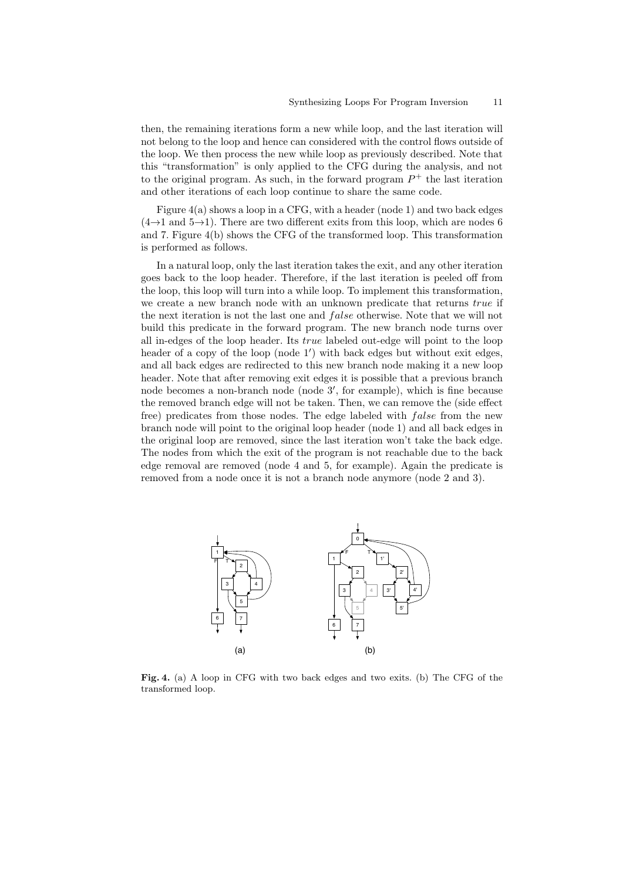then, the remaining iterations form a new while loop, and the last iteration will not belong to the loop and hence can considered with the control flows outside of the loop. We then process the new while loop as previously described. Note that this "transformation" is only applied to the CFG during the analysis, and not to the original program. As such, in the forward program  $P^+$  the last iteration and other iterations of each loop continue to share the same code.

Figure 4(a) shows a loop in a CFG, with a header (node 1) and two back edges  $(4\rightarrow)1$  and  $5\rightarrow1$ ). There are two different exits from this loop, which are nodes 6 and 7. Figure 4(b) shows the CFG of the transformed loop. This transformation is performed as follows.

In a natural loop, only the last iteration takes the exit, and any other iteration goes back to the loop header. Therefore, if the last iteration is peeled off from the loop, this loop will turn into a while loop. To implement this transformation, we create a new branch node with an unknown predicate that returns true if the next iteration is not the last one and *false* otherwise. Note that we will not build this predicate in the forward program. The new branch node turns over all in-edges of the loop header. Its true labeled out-edge will point to the loop header of a copy of the loop (node 1') with back edges but without exit edges, and all back edges are redirected to this new branch node making it a new loop header. Note that after removing exit edges it is possible that a previous branch node becomes a non-branch node (node 3', for example), which is fine because the removed branch edge will not be taken. Then, we can remove the (side effect free) predicates from those nodes. The edge labeled with *false* from the new branch node will point to the original loop header (node 1) and all back edges in the original loop are removed, since the last iteration won't take the back edge. The nodes from which the exit of the program is not reachable due to the back edge removal are removed (node 4 and 5, for example). Again the predicate is removed from a node once it is not a branch node anymore (node 2 and 3).



Fig. 4. (a) A loop in CFG with two back edges and two exits. (b) The CFG of the transformed loop.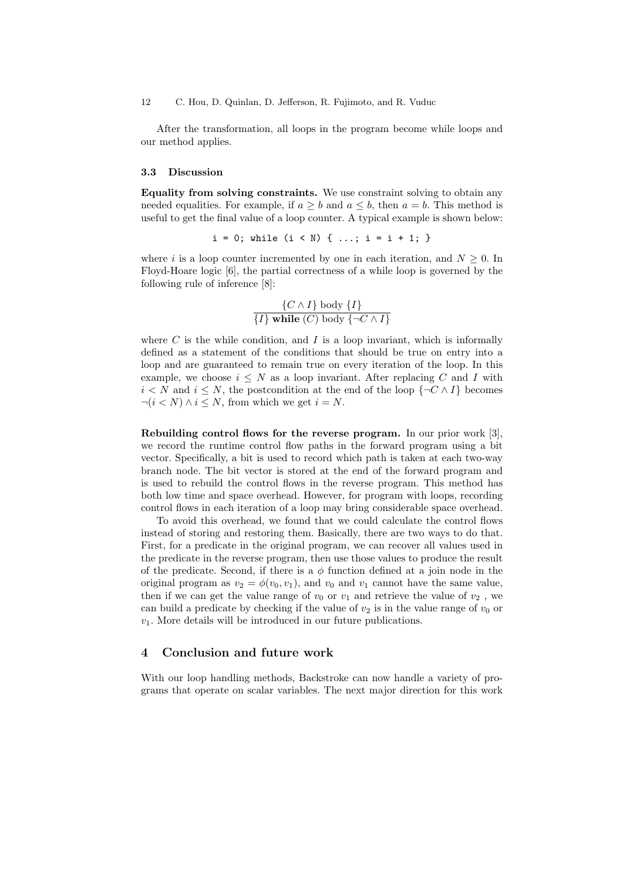12 C. Hou, D. Quinlan, D. Jefferson, R. Fujimoto, and R. Vuduc

After the transformation, all loops in the program become while loops and our method applies.

#### 3.3 Discussion

Equality from solving constraints. We use constraint solving to obtain any needed equalities. For example, if  $a > b$  and  $a \leq b$ , then  $a = b$ . This method is useful to get the final value of a loop counter. A typical example is shown below:

 $i = 0$ ; while  $(i < N) \{ ...; i = i + 1; \}$ 

where i is a loop counter incremented by one in each iteration, and  $N \geq 0$ . In Floyd-Hoare logic [6], the partial correctness of a while loop is governed by the following rule of inference [8]:

$$
\frac{\{C \wedge I\} \text{ body } \{I\}}{\{I\} \text{ while } (C) \text{ body } \{\neg C \wedge I\}}
$$

where  $C$  is the while condition, and  $I$  is a loop invariant, which is informally defined as a statement of the conditions that should be true on entry into a loop and are guaranteed to remain true on every iteration of the loop. In this example, we choose  $i \leq N$  as a loop invariant. After replacing C and I with  $i \leq N$  and  $i \leq N$ , the postcondition at the end of the loop  $\{\neg C \wedge I\}$  becomes  $\neg (i < N) \land i \leq N$ , from which we get  $i = N$ .

Rebuilding control flows for the reverse program. In our prior work [3], we record the runtime control flow paths in the forward program using a bit vector. Specifically, a bit is used to record which path is taken at each two-way branch node. The bit vector is stored at the end of the forward program and is used to rebuild the control flows in the reverse program. This method has both low time and space overhead. However, for program with loops, recording control flows in each iteration of a loop may bring considerable space overhead.

To avoid this overhead, we found that we could calculate the control flows instead of storing and restoring them. Basically, there are two ways to do that. First, for a predicate in the original program, we can recover all values used in the predicate in the reverse program, then use those values to produce the result of the predicate. Second, if there is a  $\phi$  function defined at a join node in the original program as  $v_2 = \phi(v_0, v_1)$ , and  $v_0$  and  $v_1$  cannot have the same value, then if we can get the value range of  $v_0$  or  $v_1$  and retrieve the value of  $v_2$ , we can build a predicate by checking if the value of  $v_2$  is in the value range of  $v_0$  or  $v_1$ . More details will be introduced in our future publications.

### 4 Conclusion and future work

With our loop handling methods, Backstroke can now handle a variety of programs that operate on scalar variables. The next major direction for this work